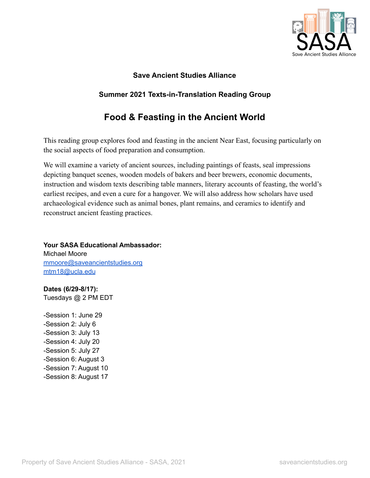

## **Save Ancient Studies Alliance**

# **Summer 2021 Texts-in-Translation Reading Group**

# **Food & Feasting in the Ancient World**

This reading group explores food and feasting in the ancient Near East, focusing particularly on the social aspects of food preparation and consumption.

We will examine a variety of ancient sources, including paintings of feasts, seal impressions depicting banquet scenes, wooden models of bakers and beer brewers, economic documents, instruction and wisdom texts describing table manners, literary accounts of feasting, the world's earliest recipes, and even a cure for a hangover. We will also address how scholars have used archaeological evidence such as animal bones, plant remains, and ceramics to identify and reconstruct ancient feasting practices.

**Your SASA Educational Ambassador:**

Michael Moore [mmoore@saveancientstudies.org](mailto:mmoore@saveancientstudies.org) [mtm18@ucla.edu](mailto:mtm18@ucla.edu)

**Dates (6/29-8/17):** Tuesdays @ 2 PM EDT

-Session 1: June 29 -Session 2: July 6 -Session 3: July 13 -Session 4: July 20 -Session 5: July 27 -Session 6: August 3 -Session 7: August 10 -Session 8: August 17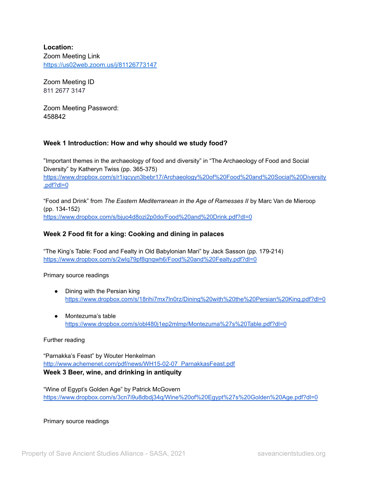**Location:** Zoom Meeting Link <https://us02web.zoom.us/j/81126773147>

Zoom Meeting ID 811 2677 3147

Zoom Meeting Password: 458842

## **Week 1 Introduction: How and why should we study food?**

"Important themes in the archaeology of food and diversity" in "The Archaeology of Food and Social Diversity" by Katheryn Twiss (pp. 365-375) [https://www.dropbox.com/s/r1iqcyyn3bebr17/Archaeology%20of%20Food%20and%20Social%20Diversity](https://www.dropbox.com/s/r1iqcyyn3bebr17/Archaeology%20of%20Food%20and%20Social%20Diversity.pdf?dl=0) [.pdf?dl=0](https://www.dropbox.com/s/r1iqcyyn3bebr17/Archaeology%20of%20Food%20and%20Social%20Diversity.pdf?dl=0)

"Food and Drink" from *The Eastern Mediterranean in the Age of Ramesses II* by Marc Van de Mieroop (pp. 134-152) <https://www.dropbox.com/s/bjuo4d8ozi2p0do/Food%20and%20Drink.pdf?dl=0>

## **Week 2 Food fit for a king: Cooking and dining in palaces**

"The King's Table: Food and Fealty in Old Babylonian Mari" by Jack Sasson (pp. 179-214) <https://www.dropbox.com/s/2wlq79pf8qnqwh6/Food%20and%20Fealty.pdf?dl=0>

Primary source readings

- Dining with the Persian king <https://www.dropbox.com/s/18rihi7mx7ln0rz/Dining%20with%20the%20Persian%20King.pdf?dl=0>
- Montezuma's table <https://www.dropbox.com/s/obl480j1ep2mlmp/Montezuma%27s%20Table.pdf?dl=0>

## Further reading

"Parnakka's Feast" by Wouter Henkelman [http://www.achemenet.com/pdf/news/WH15-02-07\\_ParnakkasFeast.pdf](http://www.achemenet.com/pdf/news/WH15-02-07_ParnakkasFeast.pdf) **Week 3 Beer, wine, and drinking in antiquity**

"Wine of Egypt's Golden Age" by Patrick McGovern <https://www.dropbox.com/s/3cn7i9u8dbdj34q/Wine%20of%20Egypt%27s%20Golden%20Age.pdf?dl=0>

Primary source readings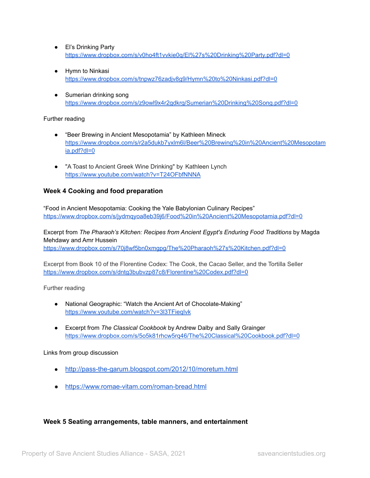- El's Drinking Party <https://www.dropbox.com/s/v0ho4ft1vvkie0q/El%27s%20Drinking%20Party.pdf?dl=0>
- Hymn to Ninkasi <https://www.dropbox.com/s/tnpwz76zadjv8g9/Hymn%20to%20Ninkasi.pdf?dl=0>
- Sumerian drinking song <https://www.dropbox.com/s/z9owl9x4r2gdkrg/Sumerian%20Drinking%20Song.pdf?dl=0>

## Further reading

- "Beer Brewing in Ancient Mesopotamia" by Kathleen Mineck [https://www.dropbox.com/s/r2a5dukb7yxlm6l/Beer%20Brewing%20in%20Ancient%20Mesopotam](https://www.dropbox.com/s/r2a5dukb7yxlm6l/Beer%20Brewing%20in%20Ancient%20Mesopotamia.pdf?dl=0) [ia.pdf?dl=0](https://www.dropbox.com/s/r2a5dukb7yxlm6l/Beer%20Brewing%20in%20Ancient%20Mesopotamia.pdf?dl=0)
- "A Toast to Ancient Greek Wine Drinking" by Kathleen Lynch <https://www.youtube.com/watch?v=T24OFbfNNNA>

## **Week 4 Cooking and food preparation**

"Food in Ancient Mesopotamia: Cooking the Yale Babylonian Culinary Recipes" <https://www.dropbox.com/s/jydmqyoa8eb39j6/Food%20in%20Ancient%20Mesopotamia.pdf?dl=0>

Excerpt from *The Pharaoh's Kitchen: Recipes from Ancient Egypt's Enduring Food Traditions* by Magda Mehdawy and Amr Hussein

<https://www.dropbox.com/s/70j8wf5bn0xmgpg/The%20Pharaoh%27s%20Kitchen.pdf?dl=0>

Excerpt from Book 10 of the Florentine Codex: The Cook, the Cacao Seller, and the Tortilla Seller <https://www.dropbox.com/s/dntg3bubvzp87c8/Florentine%20Codex.pdf?dl=0>

Further reading

- National Geographic: "Watch the Ancient Art of Chocolate-Making" <https://www.youtube.com/watch?v=3l3TFieqIvk>
- Excerpt from *The Classical Cookbook* by Andrew Dalby and Sally Grainger <https://www.dropbox.com/s/5o5k81rhcw5rq46/The%20Classical%20Cookbook.pdf?dl=0>

Links from group discussion

- <http://pass-the-garum.blogspot.com/2012/10/moretum.html>
- <https://www.romae-vitam.com/roman-bread.html>

## **Week 5 Seating arrangements, table manners, and entertainment**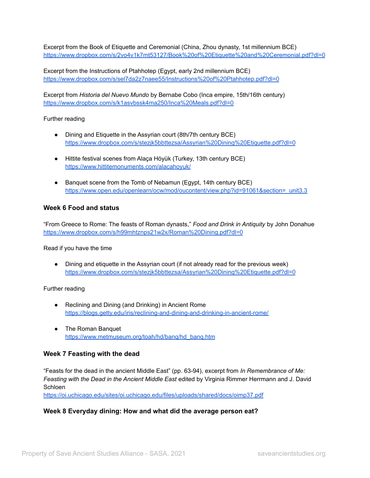Excerpt from the Book of Etiquette and Ceremonial (China, Zhou dynasty, 1st millennium BCE) <https://www.dropbox.com/s/2vo4v1k7mt53127/Book%20of%20Etiquette%20and%20Ceremonial.pdf?dl=0>

Excerpt from the Instructions of Ptahhotep (Egypt, early 2nd millennium BCE) <https://www.dropbox.com/s/sel7da2z7naee55/Instructions%20of%20Ptahhotep.pdf?dl=0>

Excerpt from *Historia del Nuevo Mundo* by Bernabe Cobo (Inca empire, 15th/16th century) <https://www.dropbox.com/s/k1asvbssk4ma250/Inca%20Meals.pdf?dl=0>

#### Further reading

- Dining and Etiquette in the Assyrian court (8th/7th century BCE) <https://www.dropbox.com/s/stezjk5bbttezsa/Assyrian%20Dining%20Etiquette.pdf?dl=0>
- Hittite festival scenes from Alaça Höyük (Turkey, 13th century BCE) <https://www.hittitemonuments.com/alacahoyuk/>
- Banquet scene from the Tomb of Nebamun (Egypt, 14th century BCE) [https://www.open.edu/openlearn/ocw/mod/oucontent/view.php?id=91061&section=\\_unit3.3](https://www.open.edu/openlearn/ocw/mod/oucontent/view.php?id=91061§ion=_unit3.3)

## **Week 6 Food and status**

"From Greece to Rome: The feasts of Roman dynasts," *Food and Drink in Antiquity* by John Donahue <https://www.dropbox.com/s/h99mhtznps21w2x/Roman%20Dining.pdf?dl=0>

#### Read if you have the time

• Dining and etiquette in the Assyrian court (if not already read for the previous week) <https://www.dropbox.com/s/stezjk5bbttezsa/Assyrian%20Dining%20Etiquette.pdf?dl=0>

## Further reading

- Reclining and Dining (and Drinking) in Ancient Rome <https://blogs.getty.edu/iris/reclining-and-dining-and-drinking-in-ancient-rome/>
- The Roman Banquet [https://www.metmuseum.org/toah/hd/banq/hd\\_banq.htm](https://www.metmuseum.org/toah/hd/banq/hd_banq.htm)

## **Week 7 Feasting with the dead**

"Feasts for the dead in the ancient Middle East" (pp. 63-94), excerpt from *In Remembrance of Me: Feasting with the Dead in the Ancient Middle East* edited by Virginia Rimmer Herrmann and J. David Schloen

<https://oi.uchicago.edu/sites/oi.uchicago.edu/files/uploads/shared/docs/oimp37.pdf>

## **Week 8 Everyday dining: How and what did the average person eat?**